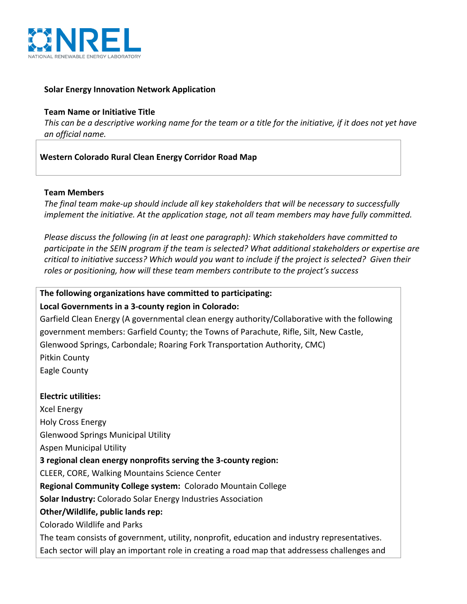

### **Solar Energy Innovation Network Application**

#### **Team Name or Initiative Title**

*This* can be a descriptive working name for the team or a title for the initiative, if it does not yet have *an official name.*

### **Western Colorado Rural Clean Energy Corridor Road Map**

#### **Team Members**

The final team make-up should include all key stakeholders that will be necessary to successfully *implement the initiative.* At the application stage, not all team members may have fully committed.

*Please discuss the following (in at least one paragraph): Which stakeholders have committed to* participate in the SEIN program if the team is selected? What additional stakeholders or expertise are *critical to initiative success? Which would you want to include if the project is selected? Given their* roles or positioning, how will these team members contribute to the project's success

### The following organizations have committed to participating:

#### Local Governments in a 3-county region in Colorado:

Garfield Clean Energy (A governmental clean energy authority/Collaborative with the following government members: Garfield County; the Towns of Parachute, Rifle, Silt, New Castle, Glenwood Springs, Carbondale; Roaring Fork Transportation Authority, CMC) Pitkin County Eagle County

#### **Electric utilities:**

Xcel Energy Holy Cross Energy Glenwood Springs Municipal Utility Aspen Municipal Utility **3** regional clean energy nonprofits serving the 3-county region: CLEER, CORE, Walking Mountains Science Center **Regional Community College system:** Colorado Mountain College **Solar Industry:** Colorado Solar Energy Industries Association **Other/Wildlife, public lands rep:** Colorado Wildlife and Parks The team consists of government, utility, nonprofit, education and industry representatives. Each sector will play an important role in creating a road map that addressess challenges and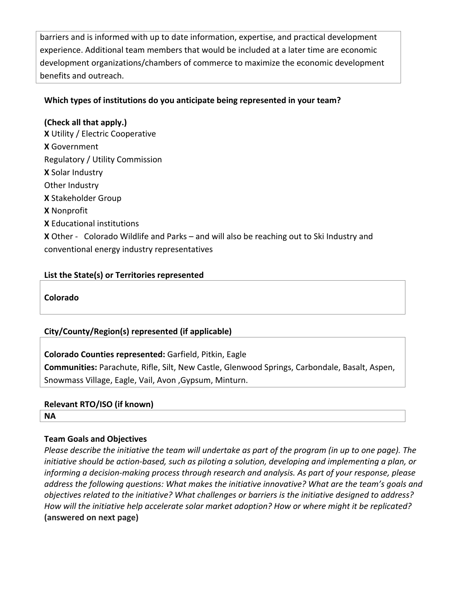barriers and is informed with up to date information, expertise, and practical development experience. Additional team members that would be included at a later time are economic development organizations/chambers of commerce to maximize the economic development benefits and outreach.

# Which types of institutions do you anticipate being represented in your team?

**(Check all that apply.) X** Utility / Electric Cooperative **X** Government Regulatory / Utility Commission **X** Solar Industry Other Industry **X** Stakeholder Group **X** Nonprofit **X** Educational institutions **X** Other - Colorado Wildlife and Parks – and will also be reaching out to Ski Industry and conventional energy industry representatives

## List the State(s) or Territories represented

**Colorado**

# **City/County/Region(s) represented (if applicable)**

**Colorado Counties represented:** Garfield, Pitkin, Eagle **Communities:** Parachute, Rifle, Silt, New Castle, Glenwood Springs, Carbondale, Basalt, Aspen, Snowmass Village, Eagle, Vail, Avon , Gypsum, Minturn.

## **Relevant RTO/ISO** (if known)

**NA**

## **Team Goals and Objectives**

*Please describe the initiative the team will undertake as part of the program (in up to one page). The initiative* should be action-based, such as piloting a solution, developing and implementing a plan, or *informing* a decision-making process through research and analysis. As part of your response, please *address* the following questions: What makes the initiative innovative? What are the team's goals and *objectives related to the initiative?* What challenges or barriers is the initiative designed to address? *How* will the initiative help accelerate solar market adoption? How or where might it be replicated? **(answered on next page)**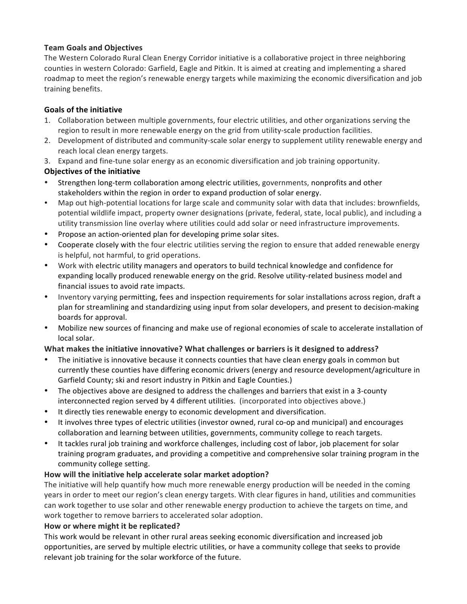#### **Team Goals and Objectives**

The Western Colorado Rural Clean Energy Corridor initiative is a collaborative project in three neighboring counties in western Colorado: Garfield, Eagle and Pitkin. It is aimed at creating and implementing a shared roadmap to meet the region's renewable energy targets while maximizing the economic diversification and job training benefits.

#### **Goals of the initiative**

- 1. Collaboration between multiple governments, four electric utilities, and other organizations serving the region to result in more renewable energy on the grid from utility-scale production facilities.
- 2. Development of distributed and community-scale solar energy to supplement utility renewable energy and reach local clean energy targets.
- 3. Expand and fine-tune solar energy as an economic diversification and job training opportunity.

#### **Objectives of the initiative**

- Strengthen long-term collaboration among electric utilities, governments, nonprofits and other stakeholders within the region in order to expand production of solar energy.
- Map out high-potential locations for large scale and community solar with data that includes: brownfields, potential wildlife impact, property owner designations (private, federal, state, local public), and including a utility transmission line overlay where utilities could add solar or need infrastructure improvements.
- Propose an action-oriented plan for developing prime solar sites.
- Cooperate closely with the four electric utilities serving the region to ensure that added renewable energy is helpful, not harmful, to grid operations.
- Work with electric utility managers and operators to build technical knowledge and confidence for expanding locally produced renewable energy on the grid. Resolve utility-related business model and financial issues to avoid rate impacts.
- Inventory varying permitting, fees and inspection requirements for solar installations across region, draft a plan for streamlining and standardizing using input from solar developers, and present to decision-making boards for approval.
- Mobilize new sources of financing and make use of regional economies of scale to accelerate installation of local solar.

#### What makes the initiative innovative? What challenges or barriers is it designed to address?

- The initiative is innovative because it connects counties that have clean energy goals in common but currently these counties have differing economic drivers (energy and resource development/agriculture in Garfield County; ski and resort industry in Pitkin and Eagle Counties.)
- The objectives above are designed to address the challenges and barriers that exist in a 3-county interconnected region served by 4 different utilities. (incorporated into objectives above.)
- It directly ties renewable energy to economic development and diversification.
- It involves three types of electric utilities (investor owned, rural co-op and municipal) and encourages collaboration and learning between utilities, governments, community college to reach targets.
- It tackles rural job training and workforce challenges, including cost of labor, job placement for solar training program graduates, and providing a competitive and comprehensive solar training program in the community college setting.

#### How will the initiative help accelerate solar market adoption?

The initiative will help quantify how much more renewable energy production will be needed in the coming years in order to meet our region's clean energy targets. With clear figures in hand, utilities and communities can work together to use solar and other renewable energy production to achieve the targets on time, and work together to remove barriers to accelerated solar adoption.

#### How or where might it be replicated?

This work would be relevant in other rural areas seeking economic diversification and increased job opportunities, are served by multiple electric utilities, or have a community college that seeks to provide relevant job training for the solar workforce of the future.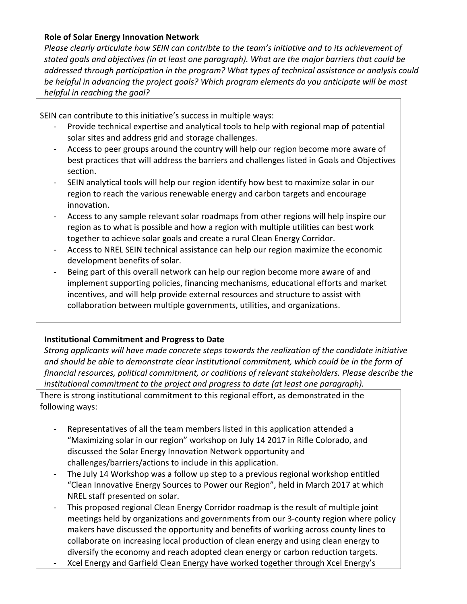### **Role of Solar Energy Innovation Network**

*Please clearly articulate how SEIN can contribte to the team's initiative and to its achievement of* stated goals and objectives (in at least one paragraph). What are the major barriers that could be *addressed through participation in the program?* What types of technical assistance or analysis could be helpful in advancing the project goals? Which program elements do you anticipate will be most *helpful in reaching the goal?* 

SEIN can contribute to this initiative's success in multiple ways:

- Provide technical expertise and analytical tools to help with regional map of potential solar sites and address grid and storage challenges.
- Access to peer groups around the country will help our region become more aware of best practices that will address the barriers and challenges listed in Goals and Objectives section.
- SEIN analytical tools will help our region identify how best to maximize solar in our region to reach the various renewable energy and carbon targets and encourage innovation.
- Access to any sample relevant solar roadmaps from other regions will help inspire our region as to what is possible and how a region with multiple utilities can best work together to achieve solar goals and create a rural Clean Energy Corridor.
- Access to NREL SEIN technical assistance can help our region maximize the economic development benefits of solar.
- Being part of this overall network can help our region become more aware of and implement supporting policies, financing mechanisms, educational efforts and market incentives, and will help provide external resources and structure to assist with collaboration between multiple governments, utilities, and organizations.

## **Institutional Commitment and Progress to Date**

*Strong applicants will have made concrete steps towards the realization of the candidate initiative* and should be able to demonstrate clear institutional commitment, which could be in the form of financial resources, political commitment, or coalitions of relevant stakeholders. Please describe the *institutional commitment to the project and progress to date (at least one paragraph).* 

There is strong institutional commitment to this regional effort, as demonstrated in the following ways:

- Representatives of all the team members listed in this application attended a "Maximizing solar in our region" workshop on July 14 2017 in Rifle Colorado, and discussed the Solar Energy Innovation Network opportunity and challenges/barriers/actions to include in this application.
- The July 14 Workshop was a follow up step to a previous regional workshop entitled "Clean Innovative Energy Sources to Power our Region", held in March 2017 at which NREL staff presented on solar.
- This proposed regional Clean Energy Corridor roadmap is the result of multiple joint meetings held by organizations and governments from our 3-county region where policy makers have discussed the opportunity and benefits of working across county lines to collaborate on increasing local production of clean energy and using clean energy to diversify the economy and reach adopted clean energy or carbon reduction targets.
- Xcel Energy and Garfield Clean Energy have worked together through Xcel Energy's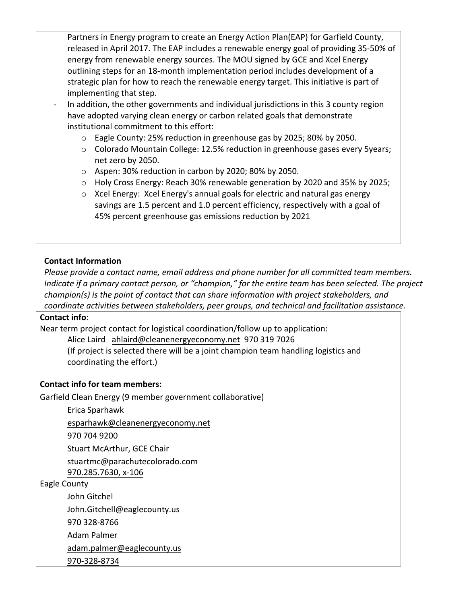Partners in Energy program to create an Energy Action Plan(EAP) for Garfield County, released in April 2017. The EAP includes a renewable energy goal of providing 35-50% of energy from renewable energy sources. The MOU signed by GCE and Xcel Energy outlining steps for an 18-month implementation period includes development of a strategic plan for how to reach the renewable energy target. This initiative is part of implementing that step.

- In addition, the other governments and individual jurisdictions in this 3 county region have adopted varying clean energy or carbon related goals that demonstrate institutional commitment to this effort:
	- $\circ$  Eagle County: 25% reduction in greenhouse gas by 2025; 80% by 2050.
	- o Colorado Mountain College: 12.5% reduction in greenhouse gases every 5years; net zero by 2050.
	- o Aspen: 30% reduction in carbon by 2020; 80% by 2050.
	- $\circ$  Holy Cross Energy: Reach 30% renewable generation by 2020 and 35% by 2025;
	- $\circ$  Xcel Energy: Xcel Energy's annual goals for electric and natural gas energy savings are 1.5 percent and 1.0 percent efficiency, respectively with a goal of 45% percent greenhouse gas emissions reduction by 2021

## **Contact Information**

*Please provide a contact name, email address and phone number for all committed team members. Indicate if a primary contact person, or "champion," for the entire team has been selected. The project champion(s)* is the point of contact that can share information with project stakeholders, and coordinate activities between stakeholders, peer groups, and technical and facilitation assistance.

#### **Contact info**:

Near term project contact for logistical coordination/follow up to application:

Alice Laird ahlaird@cleanenergyeconomy.net 970 319 7026

(If project is selected there will be a joint champion team handling logistics and coordinating the effort.)

## **Contact info for team members:**

Garfield Clean Energy (9 member government collaborative)

Erica Sparhawk

esparhawk@cleanenergyeconomy.net

970 704 9200

Stuart McArthur, GCE Chair

stuartmc@parachutecolorado.com

970.285.7630, x-106

Eagle County

John Gitchel John.Gitchell@eaglecounty.us 970 328-8766 Adam Palmer

adam.palmer@eaglecounty.us

970-328-8734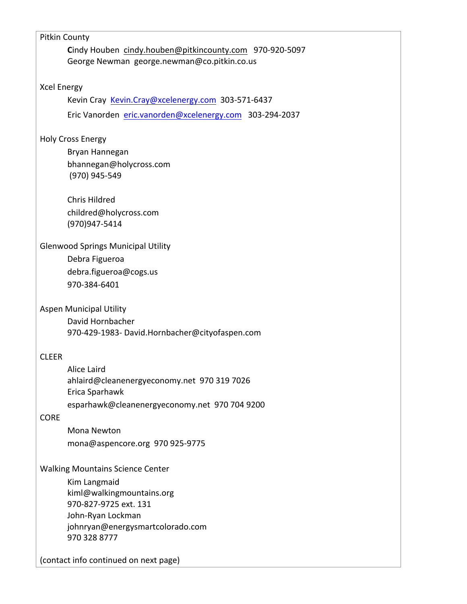| Pitkin County                                           |
|---------------------------------------------------------|
| Cindy Houben cindy.houben@pitkincounty.com 970-920-5097 |
| George Newman george.newman@co.pitkin.co.us             |
|                                                         |
| <b>Xcel Energy</b>                                      |
| Kevin Cray Kevin.Cray@xcelenergy.com 303-571-6437       |
| Eric Vanorden eric.vanorden@xcelenergy.com 303-294-2037 |
| <b>Holy Cross Energy</b>                                |
| Bryan Hannegan                                          |
| bhannegan@holycross.com                                 |
| (970) 945-549                                           |
| <b>Chris Hildred</b>                                    |
|                                                         |
| childred@holycross.com<br>(970)947-5414                 |
|                                                         |
| <b>Glenwood Springs Municipal Utility</b>               |
| Debra Figueroa                                          |
| debra.figueroa@cogs.us                                  |
| 970-384-6401                                            |
|                                                         |
| <b>Aspen Municipal Utility</b>                          |
| David Hornbacher                                        |
| 970-429-1983- David.Hornbacher@cityofaspen.com          |
| <b>CLEER</b>                                            |
| Alice Laird                                             |
| ahlaird@cleanenergyeconomy.net 970 319 7026             |
| Erica Sparhawk                                          |
| esparhawk@cleanenergyeconomy.net 970 704 9200           |
| <b>CORE</b>                                             |
| Mona Newton                                             |
| mona@aspencore.org 970 925-9775                         |
| <b>Walking Mountains Science Center</b>                 |
| Kim Langmaid                                            |
| kiml@walkingmountains.org                               |
| 970-827-9725 ext. 131                                   |
| John-Ryan Lockman                                       |
| johnryan@energysmartcolorado.com                        |
| 970 328 8777                                            |
| (contact info continued on next page)                   |